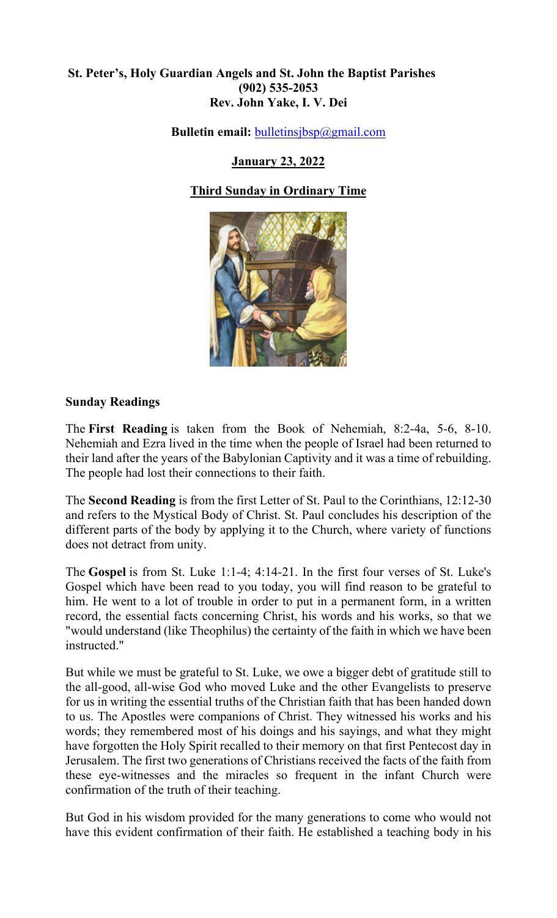## **St. Peter's, Holy Guardian Angels and St. John the Baptist Parishes (902) 535-2053 Rev. John Yake, I. V. Dei**

**Bulletin email:** [bulletinsjbsp@gmail.com](mailto:bulletinsjbsp@gmail.com)

# **January 23, 2022**

# **Third Sunday in Ordinary Time**



## **Sunday Readings**

The **First Reading** is taken from the Book of Nehemiah, 8:2-4a, 5-6, 8-10. Nehemiah and Ezra lived in the time when the people of Israel had been returned to their land after the years of the Babylonian Captivity and it was a time of rebuilding. The people had lost their connections to their faith.

The **Second Reading** is from the first Letter of St. Paul to the Corinthians, 12:12-30 and refers to the Mystical Body of Christ. St. Paul concludes his description of the different parts of the body by applying it to the Church, where variety of functions does not detract from unity.

The **Gospel** is from St. Luke 1:1-4; 4:14-21. In the first four verses of St. Luke's Gospel which have been read to you today, you will find reason to be grateful to him. He went to a lot of trouble in order to put in a permanent form, in a written record, the essential facts concerning Christ, his words and his works, so that we "would understand (like Theophilus) the certainty of the faith in which we have been instructed."

But while we must be grateful to St. Luke, we owe a bigger debt of gratitude still to the all-good, all-wise God who moved Luke and the other Evangelists to preserve for us in writing the essential truths of the Christian faith that has been handed down to us. The Apostles were companions of Christ. They witnessed his works and his words; they remembered most of his doings and his sayings, and what they might have forgotten the Holy Spirit recalled to their memory on that first Pentecost day in Jerusalem. The first two generations of Christians received the facts of the faith from these eye-witnesses and the miracles so frequent in the infant Church were confirmation of the truth of their teaching.

But God in his wisdom provided for the many generations to come who would not have this evident confirmation of their faith. He established a teaching body in his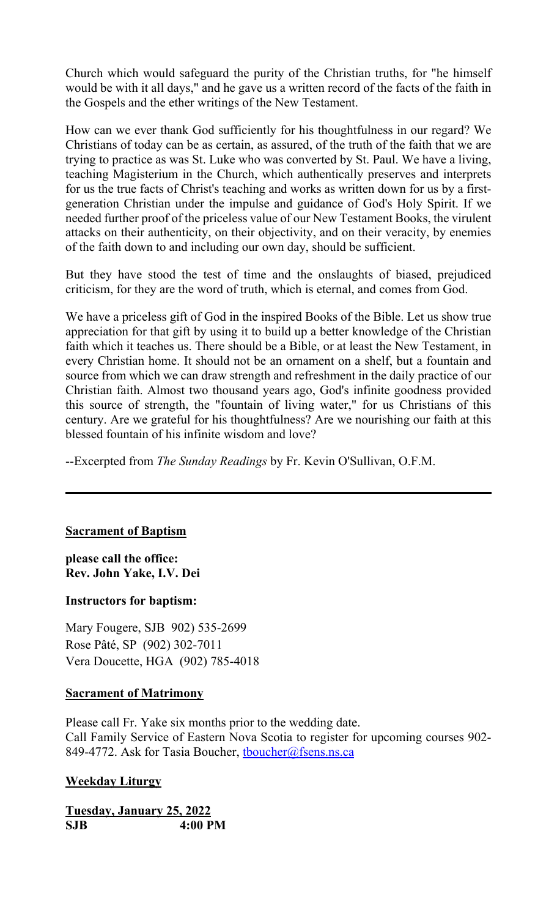Church which would safeguard the purity of the Christian truths, for "he himself would be with it all days," and he gave us a written record of the facts of the faith in the Gospels and the ether writings of the New Testament.

How can we ever thank God sufficiently for his thoughtfulness in our regard? We Christians of today can be as certain, as assured, of the truth of the faith that we are trying to practice as was St. Luke who was converted by St. Paul. We have a living, teaching Magisterium in the Church, which authentically preserves and interprets for us the true facts of Christ's teaching and works as written down for us by a firstgeneration Christian under the impulse and guidance of God's Holy Spirit. If we needed further proof of the priceless value of our New Testament Books, the virulent attacks on their authenticity, on their objectivity, and on their veracity, by enemies of the faith down to and including our own day, should be sufficient.

But they have stood the test of time and the onslaughts of biased, prejudiced criticism, for they are the word of truth, which is eternal, and comes from God.

We have a priceless gift of God in the inspired Books of the Bible. Let us show true appreciation for that gift by using it to build up a better knowledge of the Christian faith which it teaches us. There should be a Bible, or at least the New Testament, in every Christian home. It should not be an ornament on a shelf, but a fountain and source from which we can draw strength and refreshment in the daily practice of our Christian faith. Almost two thousand years ago, God's infinite goodness provided this source of strength, the "fountain of living water," for us Christians of this century. Are we grateful for his thoughtfulness? Are we nourishing our faith at this blessed fountain of his infinite wisdom and love?

--Excerpted from *The Sunday Readings* by Fr. Kevin O'Sullivan, O.F.M.

### **Sacrament of Baptism**

**please call the office: Rev. John Yake, I.V. Dei** 

### **Instructors for baptism:**

Mary Fougere, SJB 902) 535-2699 Rose Pâté, SP (902) 302-7011 Vera Doucette, HGA (902) 785-4018

### **Sacrament of Matrimony**

Please call Fr. Yake six months prior to the wedding date. Call Family Service of Eastern Nova Scotia to register for upcoming courses 902- 849-4772. Ask for Tasia Boucher, thoucher@fsens.ns.ca

### **Weekday Liturgy**

**Tuesday, January 25, 2022 SJB 4:00 PM**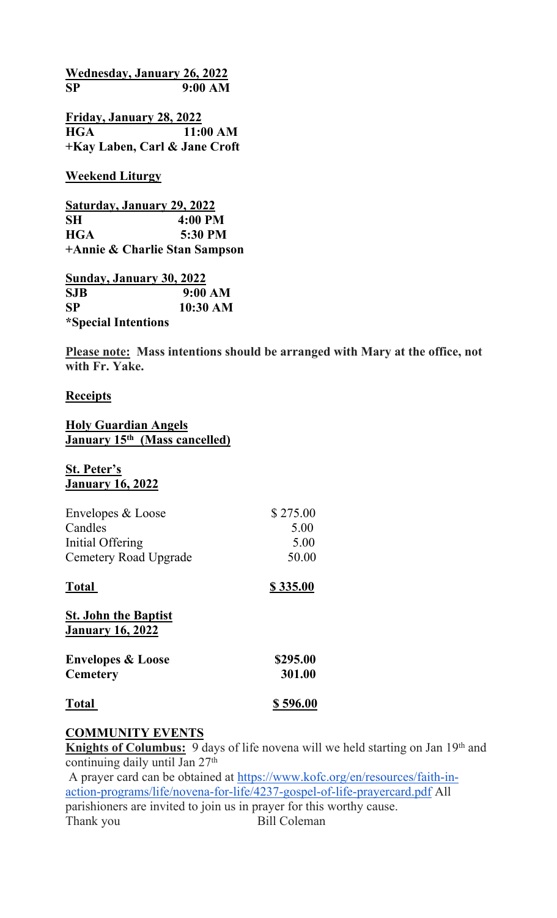**Wednesday, January 26, 2022 SP 9:00 AM**

**Friday, January 28, 2022 HGA 11:00 AM +Kay Laben, Carl & Jane Croft**

**Weekend Liturgy**

**Saturday, January 29, 2022 SH 4:00 PM HGA 5:30 PM +Annie & Charlie Stan Sampson**

**Sunday, January 30, 2022 SJB 9:00 AM SP 10:30 AM \*Special Intentions**

**Please note: Mass intentions should be arranged with Mary at the office, not with Fr. Yake.** 

## **Receipts**

### **Holy Guardian Angels January 15th (Mass cancelled)**

#### **St. Peter's January 16, 2022**

| Envelopes & Loose     | \$275.00 |
|-----------------------|----------|
| Candles               | 5.00     |
| Initial Offering      | 5.00     |
| Cemetery Road Upgrade | 50.00    |

# **Total \$ 335.00**

| <b>St. John the Baptist</b>  |          |
|------------------------------|----------|
| <b>January 16, 2022</b>      |          |
| <b>Envelopes &amp; Loose</b> | \$295.00 |
| <b>Cemetery</b>              | 301.00   |
| <b>Total</b>                 | \$596.00 |

# **COMMUNITY EVENTS**

**Knights of Columbus:** 9 days of life novena will we held starting on Jan 19<sup>th</sup> and continuing daily until Jan 27<sup>th</sup>

 A prayer card can be obtained at [https://www.kofc.org/en/resources/faith-in](https://www.kofc.org/en/resources/faith-in-action-programs/life/novena-for-life/4237-gospel-of-life-prayercard.pdf)[action-programs/life/novena-for-life/4237-gospel-of-life-prayercard.pdf](https://www.kofc.org/en/resources/faith-in-action-programs/life/novena-for-life/4237-gospel-of-life-prayercard.pdf) All parishioners are invited to join us in prayer for this worthy cause. Thank you Bill Coleman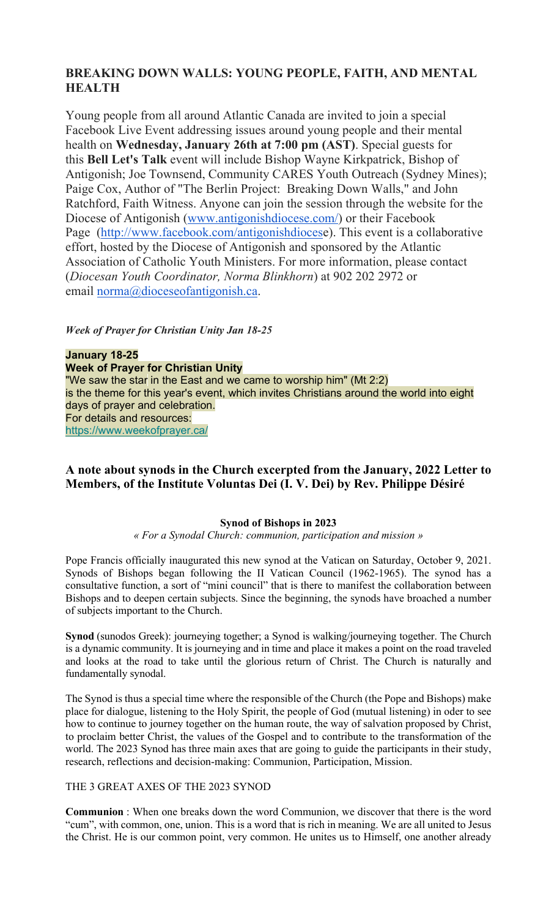# **BREAKING DOWN WALLS: YOUNG PEOPLE, FAITH, AND MENTAL HEALTH**

Young people from all around Atlantic Canada are invited to join a special Facebook Live Event addressing issues around young people and their mental health on **Wednesday, January 26th at 7:00 pm (AST)**. Special guests for this **Bell Let's Talk** event will include Bishop Wayne Kirkpatrick, Bishop of Antigonish; Joe Townsend, Community CARES Youth Outreach (Sydney Mines); Paige Cox, Author of "The Berlin Project: Breaking Down Walls," and John Ratchford, Faith Witness. Anyone can join the session through the website for the Diocese of Antigonish [\(www.antigonishdiocese.com/\)](https://www.antigonishdiocese.com/) or their Facebook Page ([http://www.facebook.com/antigonishdioces](http://www.facebook.com/antigonishdiocese)e). This event is a collaborative effort, hosted by the Diocese of Antigonish and sponsored by the Atlantic Association of Catholic Youth Ministers. For more information, please contact (*Diocesan Youth Coordinator, Norma Blinkhorn*) at 902 202 2972 or email [norma@dioceseofantigonish.ca](mailto:norma@dioceseofantigonish.ca).

*Week of Prayer for Christian Unity Jan 18-25*

**January 18-25 Week of Prayer for Christian Unity** "We saw the star in the East and we came to worship him" (Mt 2:2) is the theme for this year's event, which invites Christians around the world into eight days of prayer and celebration. For details and resources: [https://www.weekofprayer.ca/](https://antigonishdiocese.us11.list-manage.com/track/click?u=46108c95b96680ff598b4aa1d&id=53bd48df5a&e=60939d450d)

## **A note about synods in the Church excerpted from the January, 2022 Letter to Members, of the Institute Voluntas Dei (I. V. Dei) by Rev. Philippe Désiré**

#### **Synod of Bishops in 2023**

#### *« For a Synodal Church: communion, participation and mission »*

Pope Francis officially inaugurated this new synod at the Vatican on Saturday, October 9, 2021. Synods of Bishops began following the II Vatican Council (1962-1965). The synod has a consultative function, a sort of "mini council" that is there to manifest the collaboration between Bishops and to deepen certain subjects. Since the beginning, the synods have broached a number of subjects important to the Church.

**Synod** (sunodos Greek): journeying together; a Synod is walking/journeying together. The Church is a dynamic community. It is journeying and in time and place it makes a point on the road traveled and looks at the road to take until the glorious return of Christ. The Church is naturally and fundamentally synodal.

The Synod is thus a special time where the responsible of the Church (the Pope and Bishops) make place for dialogue, listening to the Holy Spirit, the people of God (mutual listening) in oder to see how to continue to journey together on the human route, the way of salvation proposed by Christ, to proclaim better Christ, the values of the Gospel and to contribute to the transformation of the world. The 2023 Synod has three main axes that are going to guide the participants in their study, research, reflections and decision-making: Communion, Participation, Mission.

#### THE 3 GREAT AXES OF THE 2023 SYNOD

**Communion** : When one breaks down the word Communion, we discover that there is the word "cum", with common, one, union. This is a word that is rich in meaning. We are all united to Jesus the Christ. He is our common point, very common. He unites us to Himself, one another already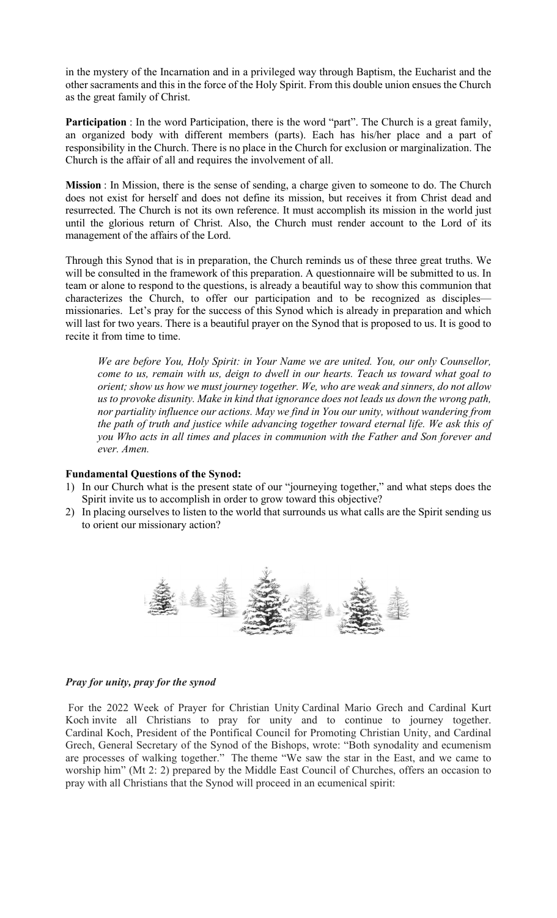in the mystery of the Incarnation and in a privileged way through Baptism, the Eucharist and the other sacraments and this in the force of the Holy Spirit. From this double union ensues the Church as the great family of Christ.

**Participation** : In the word Participation, there is the word "part". The Church is a great family, an organized body with different members (parts). Each has his/her place and a part of responsibility in the Church. There is no place in the Church for exclusion or marginalization. The Church is the affair of all and requires the involvement of all.

**Mission** : In Mission, there is the sense of sending, a charge given to someone to do. The Church does not exist for herself and does not define its mission, but receives it from Christ dead and resurrected. The Church is not its own reference. It must accomplish its mission in the world just until the glorious return of Christ. Also, the Church must render account to the Lord of its management of the affairs of the Lord.

Through this Synod that is in preparation, the Church reminds us of these three great truths. We will be consulted in the framework of this preparation. A questionnaire will be submitted to us. In team or alone to respond to the questions, is already a beautiful way to show this communion that characterizes the Church, to offer our participation and to be recognized as disciples missionaries. Let's pray for the success of this Synod which is already in preparation and which will last for two years. There is a beautiful prayer on the Synod that is proposed to us. It is good to recite it from time to time.

*We are before You, Holy Spirit: in Your Name we are united. You, our only Counsellor, come to us, remain with us, deign to dwell in our hearts. Teach us toward what goal to orient; show us how we must journey together. We, who are weak and sinners, do not allow us to provoke disunity. Make in kind that ignorance does not leads us down the wrong path, nor partiality influence our actions. May we find in You our unity, without wandering from the path of truth and justice while advancing together toward eternal life. We ask this of you Who acts in all times and places in communion with the Father and Son forever and ever. Amen.*

#### **Fundamental Questions of the Synod:**

- 1) In our Church what is the present state of our "journeying together," and what steps does the Spirit invite us to accomplish in order to grow toward this objective?
- 2) In placing ourselves to listen to the world that surrounds us what calls are the Spirit sending us to orient our missionary action?



#### *Pray for unity, pray for the synod*

 For the 2022 Week of Prayer for Christian Unity Cardinal Mario Grech and Cardinal Kurt Koch invite all Christians to pray for unity and to continue to journey together. Cardinal Koch, President of the Pontifical Council for Promoting Christian Unity, and Cardinal Grech, General Secretary of the Synod of the Bishops, wrote: "Both synodality and ecumenism are processes of walking together." The theme "We saw the star in the East, and we came to worship him" (Mt 2: 2) prepared by the Middle East Council of Churches, offers an occasion to pray with all Christians that the Synod will proceed in an ecumenical spirit: